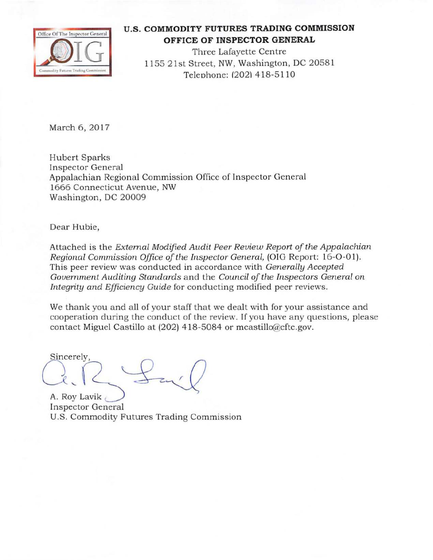

## **U.S. COMMODITY FUTURES TRADING COMMISSION OFFICE OF INSPECTOR GENERAL**

Three Lafayette Centre 1155 21st Street, NW, Washington, DC 20581 Teleohone: (2021 418-5110

March 6, 2017

Hubert Sparks In spector General Appalachian Regional Commission Office of Inspector General 1666 Connecticut Avenue, NW Washington, DC 20009

Dear Hubie,

Attached is the *External Modified Audit Peer Review Report of the Appalachian Regional Commission Office of the Inspector General, (OIG Report: 16-O-01).* This peer review was conducted in accordance with *Generally Accepted*  Government Auditing Standards and the *Council of the Inspectors General on Integrity and Efficiency Guide* for conducting modified peer reviews.

We thank you and all of your staff that we dealt with for your assistance and cooperation during the conduct of the review. If you have any questions, please contact Miguel Castillo at (202) 418-5084 or mcastillo@cftc.gov.

Sincerely,  $\bigcap_{\text{oy} \text{ Lavik}} \bigcup_{\text{ecctor General}}$ 

**Inspector General** U.S. Commodity Futures Trading Commission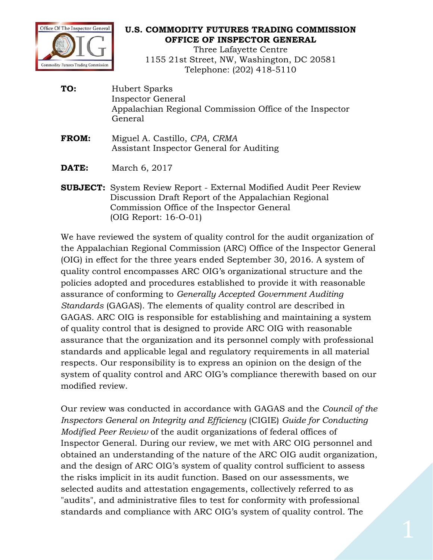

## **U.S. COMMODITY FUTURES TRADING COMMISSION OFFICE OF INSPECTOR GENERAL**

Three Lafayette Centre 1155 21st Street, NW, Washington, DC 20581 Telephone: (202) 418-5110

- TO: **TO:** Hubert Sparks Inspector General Appalachian Regional Commission Office of the Inspector General
- Assistant Inspector General for Auditing **FROM:** Miguel A. Castillo, *CPA, CRMA*
- **DATE:** March 6, 2017
- **SUBJECT:** System Review Report External Modified Audit Peer Review Discussion Draft Report of the Appalachian Regional Commission Office of the Inspector General (OIG Report: 16-O-01)

We have reviewed the system of quality control for the audit organization of the Appalachian Regional Commission (ARC) Office of the Inspector General (OIG) in effect for the three years ended September 30, 2016. A system of quality control encompasses ARC OIG's organizational structure and the policies adopted and procedures established to provide it with reasonable assurance of conforming to *Generally Accepted Government Auditing Standards* (GAGAS). The elements of quality control are described in GAGAS. ARC OIG is responsible for establishing and maintaining a system of quality control that is designed to provide ARC OIG with reasonable assurance that the organization and its personnel comply with professional standards and applicable legal and regulatory requirements in all material respects. Our responsibility is to express an opinion on the design of the system of quality control and ARC OIG's compliance therewith based on our modified review.

Our review was conducted in accordance with GAGAS and the *Council of the Inspectors General on Integrity and Efficiency* (CIGIE) *Guide for Conducting Modified Peer Review* of the audit organizations of federal offices of Inspector General. During our review, we met with ARC OIG personnel and obtained an understanding of the nature of the ARC OIG audit organization, and the design of ARC OIG's system of quality control sufficient to assess the risks implicit in its audit function. Based on our assessments, we selected audits and attestation engagements, collectively referred to as "audits", and administrative files to test for conformity with professional standards and compliance with ARC OIG's system of quality control. The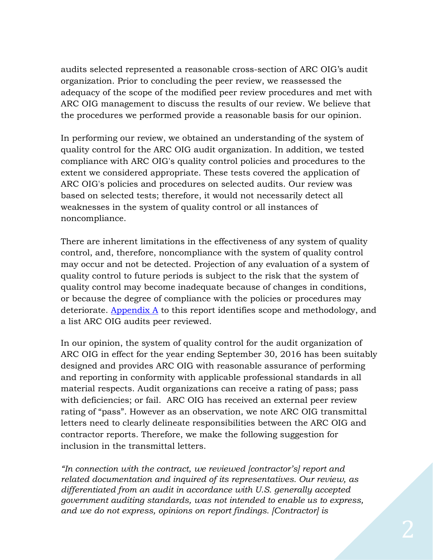audits selected represented a reasonable cross-section of ARC OIG's audit organization. Prior to concluding the peer review, we reassessed the adequacy of the scope of the modified peer review procedures and met with ARC OIG management to discuss the results of our review. We believe that the procedures we performed provide a reasonable basis for our opinion.

 quality control for the ARC OIG audit organization. In addition, we tested In performing our review, we obtained an understanding of the system of compliance with ARC OIG's quality control policies and procedures to the extent we considered appropriate. These tests covered the application of ARC OIG's policies and procedures on selected audits. Our review was based on selected tests; therefore, it would not necessarily detect all weaknesses in the system of quality control or all instances of noncompliance.

There are inherent limitations in the effectiveness of any system of quality control, and, therefore, noncompliance with the system of quality control may occur and not be detected. Projection of any evaluation of a system of quality control to future periods is subject to the risk that the system of quality control may become inadequate because of changes in conditions, or because the degree of compliance with the policies or procedures may deteriorate. [Appendix A](#page-4-0) to this report identifies scope and methodology, and a list ARC OIG audits peer reviewed.

 with deficiencies; or fail. ARC OIG has received an external peer review In our opinion, the system of quality control for the audit organization of ARC OIG in effect for the year ending September 30, 2016 has been suitably designed and provides ARC OIG with reasonable assurance of performing and reporting in conformity with applicable professional standards in all material respects. Audit organizations can receive a rating of pass; pass rating of "pass". However as an observation, we note ARC OIG transmittal letters need to clearly delineate responsibilities between the ARC OIG and contractor reports. Therefore, we make the following suggestion for inclusion in the transmittal letters.

*"In connection with the contract, we reviewed [contractor's] report and related documentation and inquired of its representatives. Our review, as differentiated from an audit in accordance with U.S. generally accepted government auditing standards, was not intended to enable us to express, and we do not express, opinions on report findings. [Contractor] is*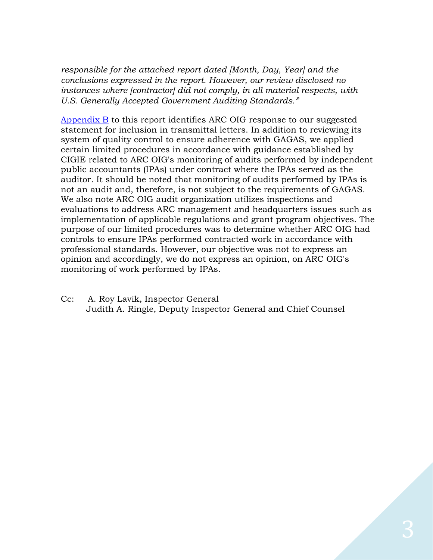*responsible for the attached report dated [Month, Day, Year] and the conclusions expressed in the report. However, our review disclosed no instances where [contractor] did not comply, in all material respects, with U.S. Generally Accepted Government Auditing Standards."* 

[Appendix B](#page-5-0) to this report identifies ARC OIG response to our suggested statement for inclusion in transmittal letters. In addition to reviewing its system of quality control to ensure adherence with GAGAS, we applied certain limited procedures in accordance with guidance established by CIGIE related to ARC OIG's monitoring of audits performed by independent public accountants (IPAs) under contract where the IPAs served as the auditor. It should be noted that monitoring of audits performed by IPAs is not an audit and, therefore, is not subject to the requirements of GAGAS. We also note ARC OIG audit organization utilizes inspections and evaluations to address ARC management and headquarters issues such as implementation of applicable regulations and grant program objectives. The purpose of our limited procedures was to determine whether ARC OIG had controls to ensure IPAs performed contracted work in accordance with professional standards. However, our objective was not to express an opinion and accordingly, we do not express an opinion, on ARC OIG's monitoring of work performed by IPAs.

Cc: A. Roy Lavik, Inspector General Judith A. Ringle, Deputy Inspector General and Chief Counsel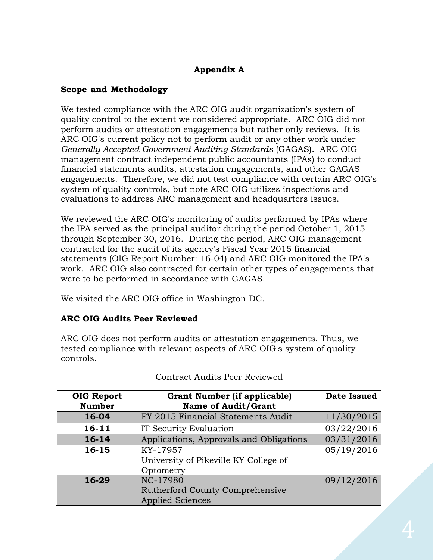# **Appendix A**

## <span id="page-4-0"></span>**Scope and Methodology**

 *Generally Accepted Government Auditing Standards* (GAGAS). ARC OIG We tested compliance with the ARC OIG audit organization's system of quality control to the extent we considered appropriate. ARC OIG did not perform audits or attestation engagements but rather only reviews. It is ARC OIG's current policy not to perform audit or any other work under management contract independent public accountants (IPAs) to conduct financial statements audits, attestation engagements, and other GAGAS engagements. Therefore, we did not test compliance with certain ARC OIG's system of quality controls, but note ARC OIG utilizes inspections and evaluations to address ARC management and headquarters issues.

 were to be performed in accordance with GAGAS. We reviewed the ARC OIG's monitoring of audits performed by IPAs where the IPA served as the principal auditor during the period October 1, 2015 through September 30, 2016. During the period, ARC OIG management contracted for the audit of its agency's Fiscal Year 2015 financial statements (OIG Report Number: 16-04) and ARC OIG monitored the IPA's work. ARC OIG also contracted for certain other types of engagements that

We visited the ARC OIG office in Washington DC.

# **ARC OIG Audits Peer Reviewed**

controls. ARC OIG does not perform audits or attestation engagements. Thus, we tested compliance with relevant aspects of ARC OIG's system of quality

| <b>OIG Report</b><br><b>Number</b> | <b>Grant Number (if applicable)</b><br><b>Name of Audit/Grant</b>      | <b>Date Issued</b> |
|------------------------------------|------------------------------------------------------------------------|--------------------|
| 16-04                              | FY 2015 Financial Statements Audit                                     | 11/30/2015         |
| $16 - 11$                          | IT Security Evaluation                                                 | 03/22/2016         |
| $16 - 14$                          | Applications, Approvals and Obligations                                | 03/31/2016         |
| 16-15                              | KY-17957<br>University of Pikeville KY College of<br>Optometry         | 05/19/2016         |
| 16-29                              | NC-17980<br>Rutherford County Comprehensive<br><b>Applied Sciences</b> | 09/12/2016         |

Contract Audits Peer Reviewed